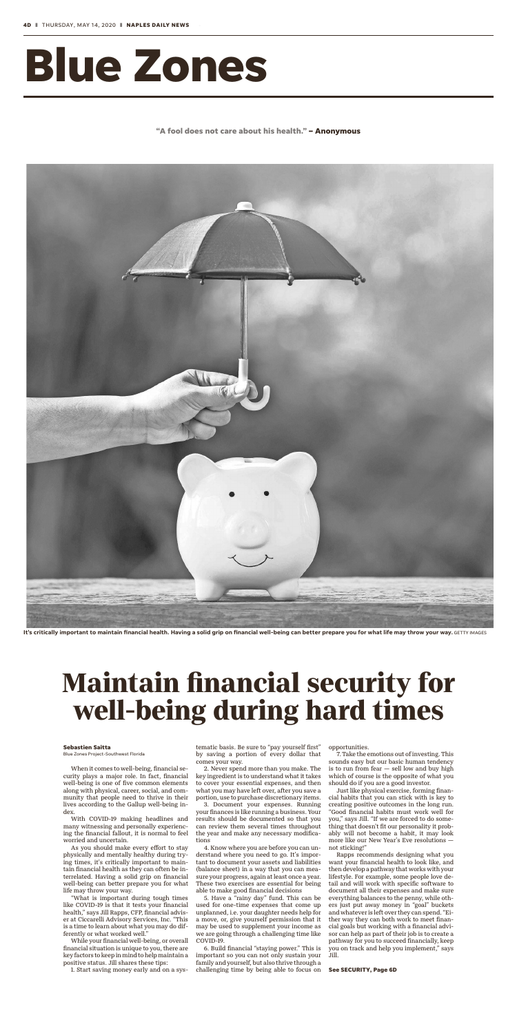# **Blue Zones**

**"A fool does not care about his health." – Anonymous**



It's critically important to maintain financial health. Having a solid grip on financial well-being can better prepare you for what life may throw your way. GETTY IMAGES

When it comes to well-being, financial security plays a major role. In fact, financial well-being is one of five common elements along with physical, career, social, and community that people need to thrive in their lives according to the Gallup well-being index.

With COVID-19 making headlines and many witnessing and personally experiencing the financial fallout, it is normal to feel worried and uncertain.

As you should make every effort to stay physically and mentally healthy during trying times, it's critically important to maintain financial health as they can often be interrelated. Having a solid grip on financial well-being can better prepare you for what life may throw your way.

"What is important during tough times like COVID-19 is that it tests your financial health," says Jill Rapps, CFP, financial adviser at Ciccarelli Advisory Services, Inc. "This is a time to learn about what you may do differently or what worked well."

While your financial well-being, or overall financial situation is unique to you, there are key factors to keep in mind to help maintain a positive status. Jill shares these tips:

1. Start saving money early and on a sys-

tematic basis. Be sure to "pay yourself first" by saving a portion of every dollar that comes your way.

2. Never spend more than you make. The key ingredient is to understand what it takes to cover your essential expenses, and then what you may have left over, after you save a portion, use to purchase discretionary items.

3. Document your expenses. Running your finances is like running a business. Your results should be documented so that you can review them several times throughout the year and make any necessary modifications

4. Know where you are before you can understand where you need to go. It's important to document your assets and liabilities (balance sheet) in a way that you can measure your progress, again at least once a year. These two exercises are essential for being able to make good financial decisions

5. Have a "rainy day" fund. This can be used for one-time expenses that come up unplanned, i.e. your daughter needs help for a move, or, give yourself permission that it may be used to supplement your income as we are going through a challenging time like COVID-19.

6. Build financial "staying power." This is important so you can not only sustain your family and yourself, but also thrive through a challenging time by being able to focus on opportunities.

7. Take the emotions out of investing. This sounds easy but our basic human tendency is to run from fear  $-$  sell low and buy high which of course is the opposite of what you should do if you are a good investor.

Just like physical exercise, forming financial habits that you can stick with is key to creating positive outcomes in the long run. "Good financial habits must work well for you," says Jill. "If we are forced to do something that doesn't fit our personality it probably will not become a habit, it may look more like our New Year's Eve resolutions not sticking!"

Rapps recommends designing what you want your financial health to look like, and then develop a pathway that works with your lifestyle. For example, some people love detail and will work with specific software to document all their expenses and make sure everything balances to the penny, while others just put away money in "goal" buckets and whatever is left over they can spend. "Either way they can both work to meet financial goals but working with a financial advisor can help as part of their job is to create a pathway for you to succeed financially, keep you on track and help you implement," says Jill.

## **Maintain financial security for well-being during hard times**

#### **See SECURITY, Page 6D**

#### **Sebastien Saitta**

Blue Zones Project-Southwest Florida